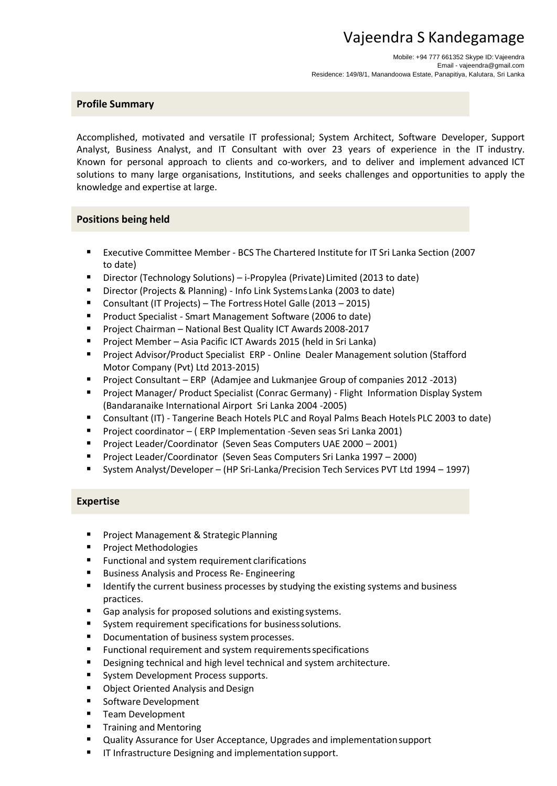# Vajeendra S Kandegamage

Mobile: +94 777 661352 Skype ID:Vajeendra Email - [vajeendra@gmail.com](mailto:vajeendra@gmail.com) Residence: 149/8/1, Manandoowa Estate, Panapitiya, Kalutara, Sri Lanka

# **Profile Summary**

Accomplished, motivated and versatile IT professional; System Architect, Software Developer, Support Analyst, Business Analyst, and IT Consultant with over 23 years of experience in the IT industry. Known for personal approach to clients and co-workers, and to deliver and implement advanced ICT solutions to many large organisations, Institutions, and seeks challenges and opportunities to apply the knowledge and expertise at large.

## **Positions being held**

- Executive Committee Member BCS The Chartered Institute for IT Sri Lanka Section (2007 to date)
- Director (Technology Solutions) i-Propylea (Private) Limited (2013 to date)
- Director (Projects & Planning) Info Link Systems Lanka (2003 to date)
- Consultant (IT Projects) The Fortress Hotel Galle (2013 2015)
- Product Specialist Smart Management Software (2006 to date)
- **Project Chairman National Best Quality ICT Awards 2008-2017**
- Project Member Asia Pacific ICT Awards 2015 (held in Sri Lanka)
- **Project Advisor/Product Specialist ERP Online Dealer Management solution (Stafford** Motor Company (Pvt) Ltd 2013-2015)
- **Project Consultant ERP (Adamjee and Lukmanjee Group of companies 2012 -2013)**
- **Project Manager/ Product Specialist (Conrac Germany) Flight Information Display System** (Bandaranaike International Airport Sri Lanka 2004 -2005)
- Consultant (IT) Tangerine Beach Hotels PLC and Royal Palms Beach Hotels PLC 2003 to date)
- Project coordinator (ERP Implementation -Seven seas Sri Lanka 2001)
- Project Leader/Coordinator (Seven Seas Computers UAE 2000 2001)
- Project Leader/Coordinator (Seven Seas Computers Sri Lanka 1997 2000)
- System Analyst/Developer (HP Sri-Lanka/Precision Tech Services PVT Ltd 1994 1997)

# **Expertise**

- **Project Management & Strategic Planning**
- **Project Methodologies**
- **Functional and system requirement clarifications**
- Business Analysis and Process Re- Engineering
- **IDENTIFY IDENTIFY THE CULTERT IS CONSISTENT** IDENTIFY IDENTIFY IDENTIFY IDENTIFY IDENTIFY IDENTIFY IDENTIFY IDENTIF practices.
- Gap analysis for proposed solutions and existingsystems.
- System requirement specifications for businesssolutions.
- **Documentation of business system processes.**
- Functional requirement and system requirementsspecifications
- **Designing technical and high level technical and system architecture.**
- System Development Process supports.
- **Diect Oriented Analysis and Design**
- **Software Development**
- **Team Development**
- **Training and Mentoring**
- Quality Assurance for User Acceptance, Upgrades and implementationsupport
- IT Infrastructure Designing and implementation support.